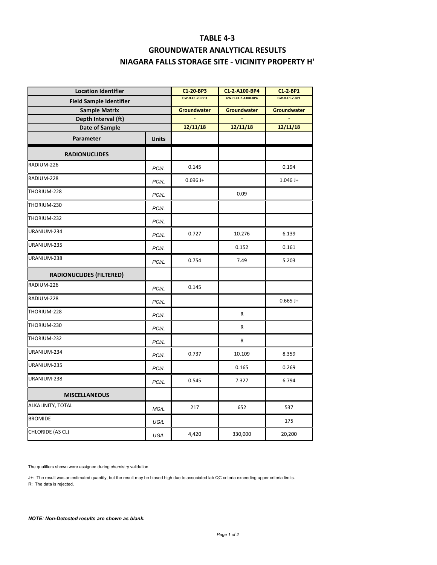## **TABLE 4‐3**

## **GROUNDWATER ANALYTICAL RESULTS NIAGARA FALLS STORAGE SITE ‐ VICINITY PROPERTY H'**

| <b>Location Identifier</b><br><b>Field Sample Identifier</b><br><b>Sample Matrix</b><br>Depth Interval (ft)<br><b>Date of Sample</b> |       | C1-20-BP3      | C1-2-A100-BP4      | C1-2-BP1      |
|--------------------------------------------------------------------------------------------------------------------------------------|-------|----------------|--------------------|---------------|
|                                                                                                                                      |       | GW-H-C1-20-BP3 | GW-H-C1-2-A100-BP4 | GW-H-C1-2-BP1 |
|                                                                                                                                      |       | Groundwater    | Groundwater        | Groundwater   |
|                                                                                                                                      |       | 12/11/18       | 12/11/18           | 12/11/18      |
|                                                                                                                                      |       |                |                    |               |
| <b>RADIONUCLIDES</b>                                                                                                                 |       |                |                    |               |
| RADIUM-226                                                                                                                           | PCI/L | 0.145          |                    | 0.194         |
| RADIUM-228                                                                                                                           | PCI/L | $0.696 J +$    |                    | $1.046 J +$   |
| THORIUM-228                                                                                                                          | PCI/L |                | 0.09               |               |
| THORIUM-230                                                                                                                          | PCI/L |                |                    |               |
| THORIUM-232                                                                                                                          | PCI/L |                |                    |               |
| URANIUM-234                                                                                                                          | PCI/L | 0.727          | 10.276             | 6.139         |
| URANIUM-235                                                                                                                          | PCI/L |                | 0.152              | 0.161         |
| URANIUM-238                                                                                                                          | PCI/L | 0.754          | 7.49               | 5.203         |
| <b>RADIONUCLIDES (FILTERED)</b>                                                                                                      |       |                |                    |               |
| RADIUM-226                                                                                                                           | PCI/L | 0.145          |                    |               |
| RADIUM-228                                                                                                                           | PCI/L |                |                    | $0.665$ J+    |
| THORIUM-228                                                                                                                          | PCI/L |                | R                  |               |
| THORIUM-230                                                                                                                          | PCI/L |                | R                  |               |
| THORIUM-232                                                                                                                          | PCI/L |                | R                  |               |
| URANIUM-234                                                                                                                          | PCI/L | 0.737          | 10.109             | 8.359         |
| URANIUM-235                                                                                                                          | PCI/L |                | 0.165              | 0.269         |
| URANIUM-238                                                                                                                          | PCI/L | 0.545          | 7.327              | 6.794         |
| <b>MISCELLANEOUS</b>                                                                                                                 |       |                |                    |               |
| ALKALINITY, TOTAL                                                                                                                    | MG/L  | 217            | 652                | 537           |
| <b>BROMIDE</b>                                                                                                                       | UG/L  |                |                    | 175           |
| CHLORIDE (AS CL)                                                                                                                     | UG/L  | 4,420          | 330,000            | 20,200        |
|                                                                                                                                      |       |                |                    |               |

The qualifiers shown were assigned during chemistry validation.

J+: The result was an estimated quantity, but the result may be biased high due to associated lab QC criteria exceeding upper criteria limits. R: The data is rejected.